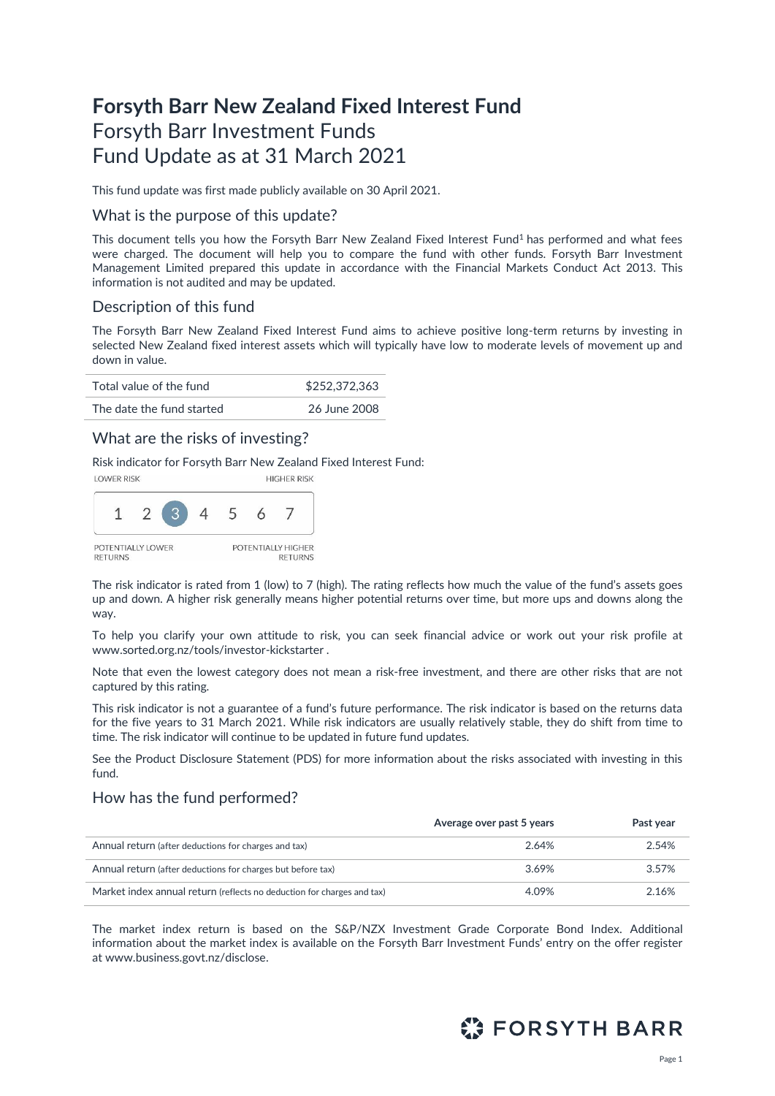# **Forsyth Barr New Zealand Fixed Interest Fund** Forsyth Barr Investment Funds Fund Update as at 31 March 2021

This fund update was first made publicly available on 30 April 2021.

#### What is the purpose of this update?

This document tells you how the Forsyth Barr New Zealand Fixed Interest Fund<sup>1</sup> has performed and what fees were charged. The document will help you to compare the fund with other funds. Forsyth Barr Investment Management Limited prepared this update in accordance with the Financial Markets Conduct Act 2013. This information is not audited and may be updated.

## Description of this fund

The Forsyth Barr New Zealand Fixed Interest Fund aims to achieve positive long-term returns by investing in selected New Zealand fixed interest assets which will typically have low to moderate levels of movement up and down in value.

| Total value of the fund   | \$252,372,363 |
|---------------------------|---------------|
| The date the fund started | 26 June 2008  |

## What are the risks of investing?

Risk indicator for Forsyth Barr New Zealand Fixed Interest Fund:



The risk indicator is rated from 1 (low) to 7 (high). The rating reflects how much the value of the fund's assets goes up and down. A higher risk generally means higher potential returns over time, but more ups and downs along the way.

To help you clarify your own attitude to risk, you can seek financial advice or work out your risk profile at [www.sorted.org.nz/tools/investor-kickstarter](http://www.sorted.org.nz/tools/investor-kickstarter) .

Note that even the lowest category does not mean a risk-free investment, and there are other risks that are not captured by this rating.

This risk indicator is not a guarantee of a fund's future performance. The risk indicator is based on the returns data for the five years to 31 March 2021. While risk indicators are usually relatively stable, they do shift from time to time. The risk indicator will continue to be updated in future fund updates.

See the Product Disclosure Statement (PDS) for more information about the risks associated with investing in this fund.

## How has the fund performed?

|                                                                        | Average over past 5 years | Past year |
|------------------------------------------------------------------------|---------------------------|-----------|
| Annual return (after deductions for charges and tax)                   | 2.64%                     | 2.54%     |
| Annual return (after deductions for charges but before tax)            | 3.69%                     | 3.57%     |
| Market index annual return (reflects no deduction for charges and tax) | 4.09%                     | 2.16%     |

The market index return is based on the S&P/NZX Investment Grade Corporate Bond Index. Additional information about the market index is available on the Forsyth Barr Investment Funds' entry on the offer register at [www.business.govt.nz/disclose.](http://www.business.govt.nz/disclose)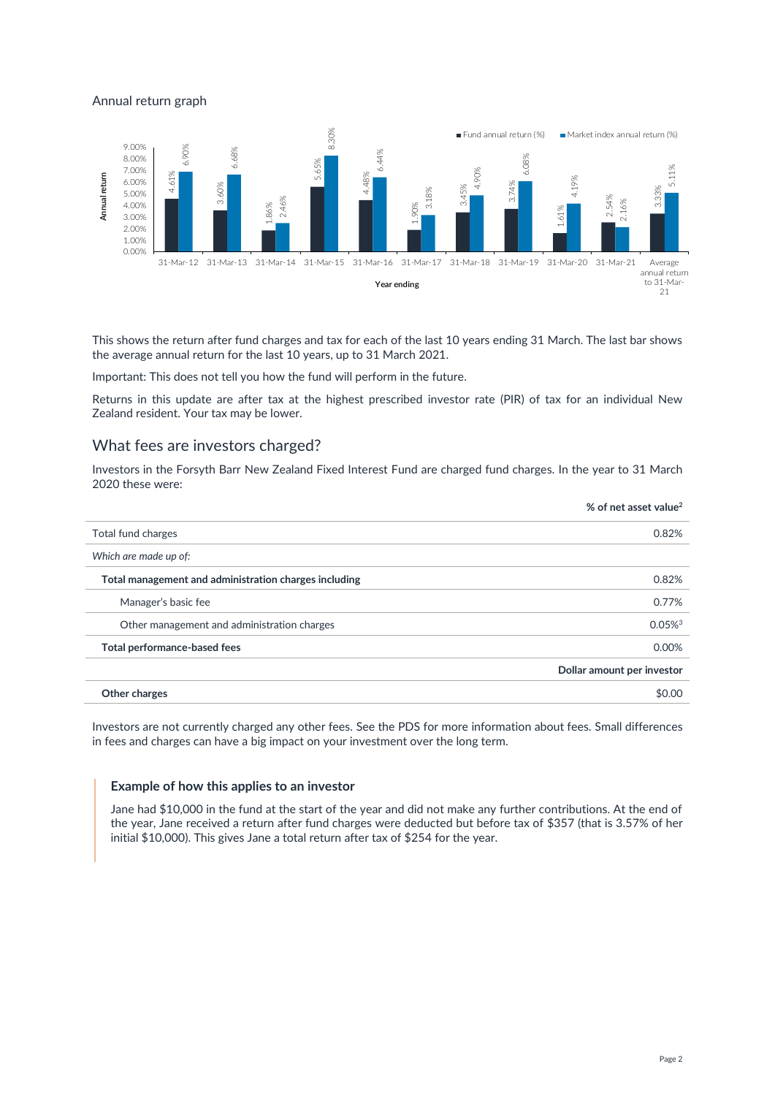#### Annual return graph



This shows the return after fund charges and tax for each of the last 10 years ending 31 March. The last bar shows the average annual return for the last 10 years, up to 31 March 2021.

Important: This does not tell you how the fund will perform in the future.

Returns in this update are after tax at the highest prescribed investor rate (PIR) of tax for an individual New Zealand resident. Your tax may be lower.

## What fees are investors charged?

Investors in the Forsyth Barr New Zealand Fixed Interest Fund are charged fund charges. In the year to 31 March 2020 these were:

|                                                       | % of net asset value <sup>2</sup> |
|-------------------------------------------------------|-----------------------------------|
| Total fund charges                                    | 0.82%                             |
| Which are made up of:                                 |                                   |
| Total management and administration charges including | 0.82%                             |
| Manager's basic fee                                   | 0.77%                             |
| Other management and administration charges           | $0.05\%$ <sup>3</sup>             |
| Total performance-based fees                          | 0.00%                             |
|                                                       | Dollar amount per investor        |
| Other charges                                         | \$0.00                            |

Investors are not currently charged any other fees. See the PDS for more information about fees. Small differences in fees and charges can have a big impact on your investment over the long term.

#### **Example of how this applies to an investor**

Jane had \$10,000 in the fund at the start of the year and did not make any further contributions. At the end of the year, Jane received a return after fund charges were deducted but before tax of \$357 (that is 3.57% of her initial \$10,000). This gives Jane a total return after tax of \$254 for the year.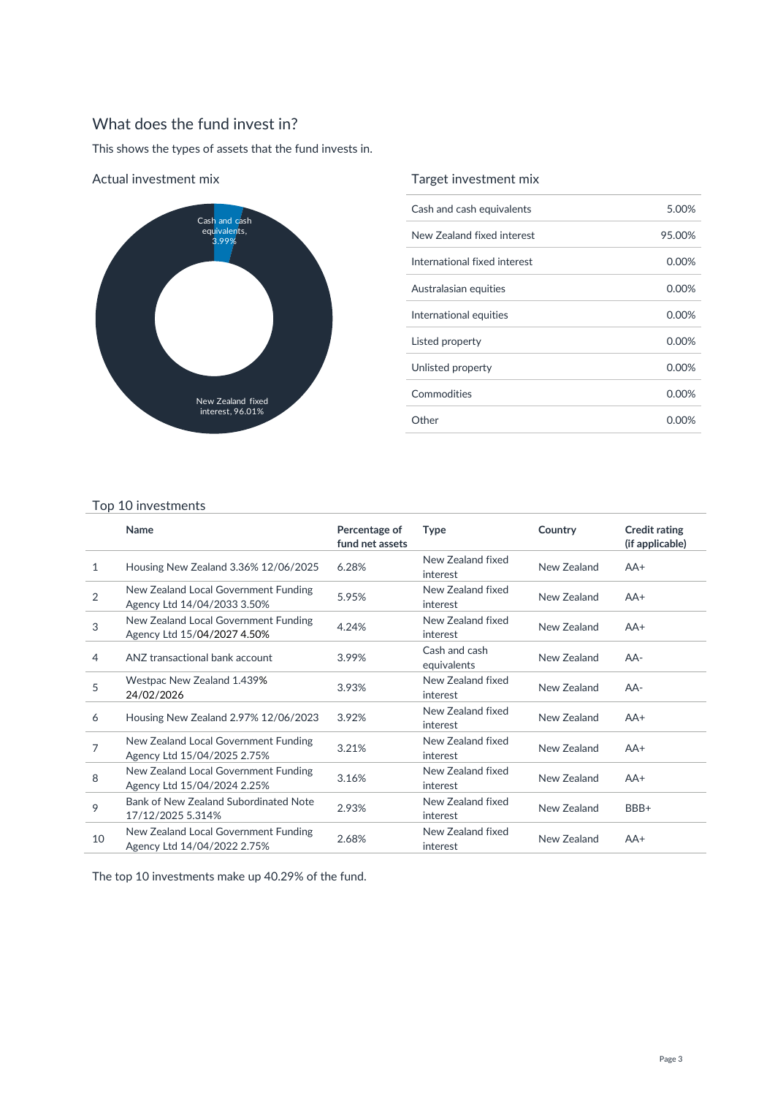## What does the fund invest in?

This shows the types of assets that the fund invests in.



Actual investment mix

## Target investment mix

| Cash and cash equivalents    | 5.00%  |
|------------------------------|--------|
| New Zealand fixed interest   | 95.00% |
| International fixed interest | 0.00%  |
| Australasian equities        | 0.00%  |
| International equities       | 0.00%  |
| Listed property              | 0.00%  |
| Unlisted property            | 0.00%  |
| Commodities                  | 0.00%  |
| Other                        | 0.00%  |

#### Top 10 investments

|                | Name                                                                | Percentage of<br>fund net assets | <b>Type</b>                   | Country     | <b>Credit rating</b><br>(if applicable) |
|----------------|---------------------------------------------------------------------|----------------------------------|-------------------------------|-------------|-----------------------------------------|
| 1              | Housing New Zealand 3.36% 12/06/2025                                | 6.28%                            | New Zealand fixed<br>interest | New Zealand | $AA+$                                   |
| $\overline{2}$ | New Zealand Local Government Funding<br>Agency Ltd 14/04/2033 3.50% | 5.95%                            | New Zealand fixed<br>interest | New Zealand | $AA+$                                   |
| 3              | New Zealand Local Government Funding<br>Agency Ltd 15/04/2027 4.50% | 4.24%                            | New Zealand fixed<br>interest | New Zealand | $AA+$                                   |
| 4              | ANZ transactional bank account                                      | 3.99%                            | Cash and cash<br>equivalents  | New Zealand | $AA-$                                   |
| 5              | Westpac New Zealand 1.439%<br>24/02/2026                            | 3.93%                            | New Zealand fixed<br>interest | New Zealand | $AA-$                                   |
| 6              | Housing New Zealand 2.97% 12/06/2023                                | 3.92%                            | New Zealand fixed<br>interest | New Zealand | $AA+$                                   |
| 7              | New Zealand Local Government Funding<br>Agency Ltd 15/04/2025 2.75% | 3.21%                            | New Zealand fixed<br>interest | New Zealand | $AA+$                                   |
| 8              | New Zealand Local Government Funding<br>Agency Ltd 15/04/2024 2.25% | 3.16%                            | New Zealand fixed<br>interest | New Zealand | $AA+$                                   |
| 9              | Bank of New Zealand Subordinated Note<br>17/12/2025 5.314%          | 2.93%                            | New Zealand fixed<br>interest | New Zealand | BBB+                                    |
| 10             | New Zealand Local Government Funding<br>Agency Ltd 14/04/2022 2.75% | 2.68%                            | New Zealand fixed<br>interest | New Zealand | $AA+$                                   |

The top 10 investments make up 40.29% of the fund.